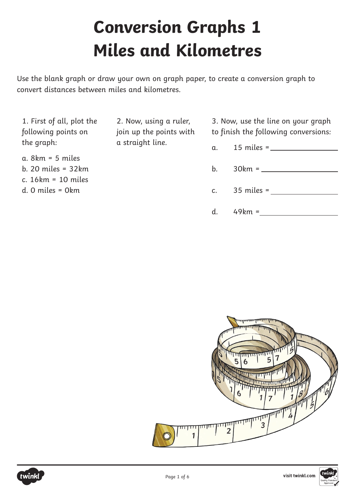## **Conversion Graphs 1 Miles and Kilometres**

Use the blank graph or draw your own on graph paper, to create a conversion graph to convert distances between miles and kilometres.

1. First of all, plot the following points on the graph:

a. 8km = 5 miles b. 20 miles = 32km c. 16km = 10 miles d. 0 miles = 0km

2. Now, using a ruler, join up the points with a straight line.

3. Now, use the line on your graph to finish the following conversions:

- a. 15 miles =
- b. 30km =
- c. 35 miles =
- d. 49km =



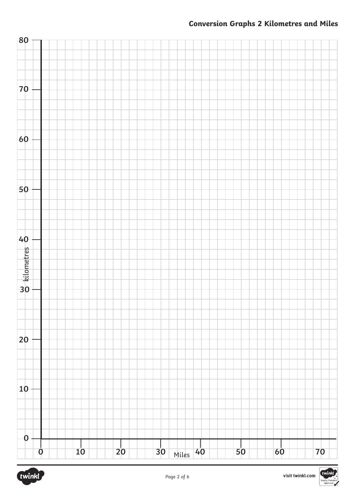#### **Conversion Graphs 2 Kilometres and Miles**





twi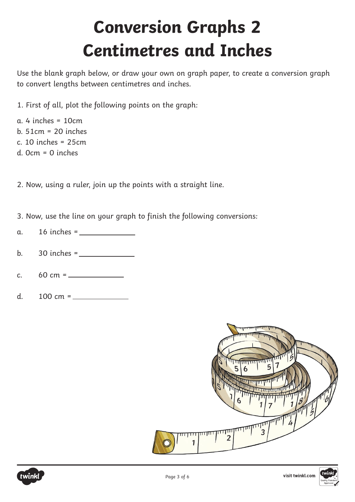# **Conversion Graphs 2 Centimetres and Inches**

Use the blank graph below, or draw your own on graph paper, to create a conversion graph to convert lengths between centimetres and inches.

1. First of all, plot the following points on the graph:

a. 4 inches = 10cm b. 51cm = 20 inches c. 10 inches = 25cm d. 0cm = 0 inches

2. Now, using a ruler, join up the points with a straight line.

- 3. Now, use the line on your graph to finish the following conversions:
- a. 16 inches =
- b.  $30$  inches =  $\frac{1}{2}$
- c.  $60 \text{ cm} =$
- d. 100 cm =





visit twinkl.com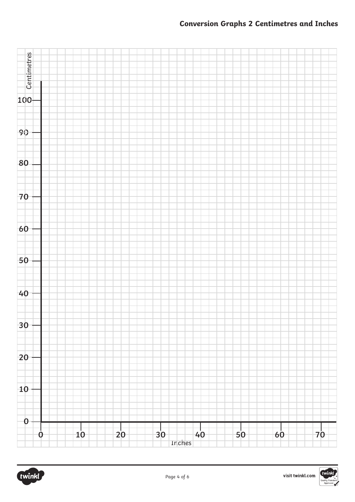#### **Conversion Graphs 2 Centimetres and Inches**



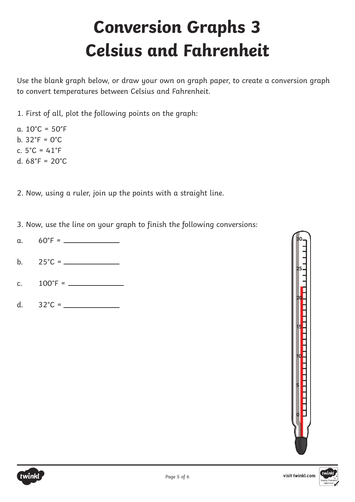# **Conversion Graphs 3 Celsius and Fahrenheit**

Use the blank graph below, or draw your own on graph paper, to create a conversion graph to convert temperatures between Celsius and Fahrenheit.

1. First of all, plot the following points on the graph:

a.  $10^{\circ}$ C =  $50^{\circ}$ F b. 32°F = 0°C c. 5°C = 41°F d.  $68°F = 20°C$ 

2. Now, using a ruler, join up the points with a straight line.

3. Now, use the line on your graph to finish the following conversions:

- a. 60°F =
- b. 25°C =
- c.  $100^{\circ}$ F =  $\_$
- d. 32°C =